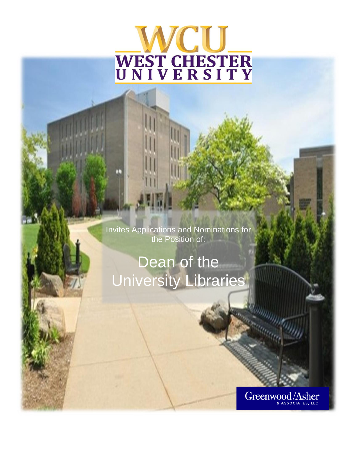# VCU. **WEST CHESTER**<br>UNIVERSITY

Invites Applications and Nominations for the Position of:

## Dean of the University Libraries

Greenwood/Asher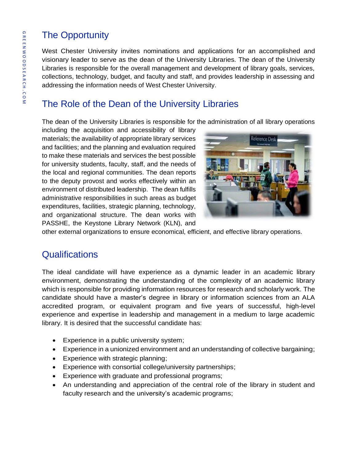## The Opportunity

West Chester University invites nominations and applications for an accomplished and visionary leader to serve as the dean of the University Libraries. The dean of the University Libraries is responsible for the overall management and development of library goals, services, collections, technology, budget, and faculty and staff, and provides leadership in assessing and addressing the information needs of West Chester University.

## The Role of the Dean of the University Libraries

The dean of the University Libraries is responsible for the administration of all library operations

including the acquisition and accessibility of library materials; the availability of appropriate library services and facilities; and the planning and evaluation required to make these materials and services the best possible for university students, faculty, staff, and the needs of the local and regional communities. The dean reports to the deputy provost and works effectively within an environment of distributed leadership. The dean fulfills administrative responsibilities in such areas as budget expenditures, facilities, strategic planning, technology, and organizational structure. The dean works with PASSHE, the Keystone Library Network (KLN), and



other external organizations to ensure economical, efficient, and effective library operations.

## **Qualifications**

The ideal candidate will have experience as a dynamic leader in an academic library environment, demonstrating the understanding of the complexity of an academic library which is responsible for providing information resources for research and scholarly work. The candidate should have a master's degree in library or information sciences from an ALA accredited program, or equivalent program and five years of successful, high-level experience and expertise in leadership and management in a medium to large academic library. It is desired that the successful candidate has:

- Experience in a public university system;
- Experience in a unionized environment and an understanding of collective bargaining;
- Experience with strategic planning;
- Experience with consortial college/university partnerships;
- Experience with graduate and professional programs;
- An understanding and appreciation of the central role of the library in student and faculty research and the university's academic programs;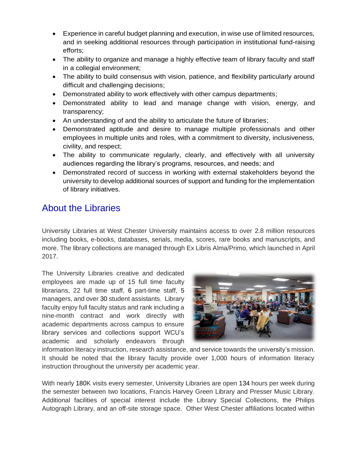- Experience in careful budget planning and execution, in wise use of limited resources, and in seeking additional resources through participation in institutional fund-raising efforts;
- The ability to organize and manage a highly effective team of library faculty and staff in a collegial environment;
- The ability to build consensus with vision, patience, and flexibility particularly around difficult and challenging decisions;
- Demonstrated ability to work effectively with other campus departments;
- Demonstrated ability to lead and manage change with vision, energy, and transparency;
- An understanding of and the ability to articulate the future of libraries;
- Demonstrated aptitude and desire to manage multiple professionals and other employees in multiple units and roles, with a commitment to diversity, inclusiveness, civility, and respect;
- The ability to communicate regularly, clearly, and effectively with all university audiences regarding the library's programs, resources, and needs; and
- Demonstrated record of success in working with external stakeholders beyond the university to develop additional sources of support and funding for the implementation of library initiatives.

## About the Libraries

University Libraries at West Chester University maintains access to over 2.8 million resources including books, e-books, databases, serials, media, scores, rare books and manuscripts, and more. The library collections are managed through Ex Libris Alma/Primo, which launched in April 2017.

The University Libraries creative and dedicated employees are made up of 15 full time faculty librarians, 22 full time staff, 6 part-time staff, 5 managers, and over 30 student assistants. Library faculty enjoy full faculty status and rank including a nine-month contract and work directly with academic departments across campus to ensure library services and collections support WCU's academic and scholarly endeavors through



information literacy instruction, research assistance, and service towards the university's mission. It should be noted that the library faculty provide over 1,000 hours of information literacy instruction throughout the university per academic year.

With nearly 180K visits every semester, University Libraries are open 134 hours per week during the semester between two locations, Francis Harvey Green Library and Presser Music Library. Additional facilities of special interest include the Library Special Collections, the Philips Autograph Library, and an off-site storage space. Other West Chester affiliations located within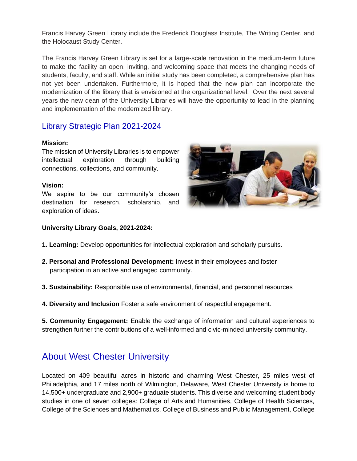Francis Harvey Green Library include the Frederick Douglass Institute, The Writing Center, and the Holocaust Study Center.

The Francis Harvey Green Library is set for a large-scale renovation in the medium-term future to make the facility an open, inviting, and welcoming space that meets the changing needs of students, faculty, and staff. While an initial study has been completed, a comprehensive plan has not yet been undertaken. Furthermore, it is hoped that the new plan can incorporate the modernization of the library that is envisioned at the organizational level. Over the next several years the new dean of the University Libraries will have the opportunity to lead in the planning and implementation of the modernized library.

#### Library Strategic Plan 2021-2024

#### **Mission:**

The mission of University Libraries is to empower intellectual exploration through building connections, collections, and community.

#### **Vision:**

We aspire to be our community's chosen destination for research, scholarship, and exploration of ideas.



#### **University Library Goals, 2021-2024:**

- **1. Learning:** Develop opportunities for intellectual exploration and scholarly pursuits.
- **2. Personal and Professional Development:** Invest in their employees and foster participation in an active and engaged community.
- **3. Sustainability:** Responsible use of environmental, financial, and personnel resources
- **4. Diversity and Inclusion** Foster a safe environment of respectful engagement.

**5. Community Engagement:** Enable the exchange of information and cultural experiences to strengthen further the contributions of a well-informed and civic-minded university community.

### About West Chester University

Located on 409 beautiful acres in historic and charming West Chester, 25 miles west of Philadelphia, and 17 miles north of Wilmington, Delaware, West Chester University is home to 14,500+ undergraduate and 2,900+ graduate students. This diverse and welcoming student body studies in one of seven colleges: College of Arts and Humanities, College of Health Sciences, College of the Sciences and Mathematics, College of Business and Public Management, College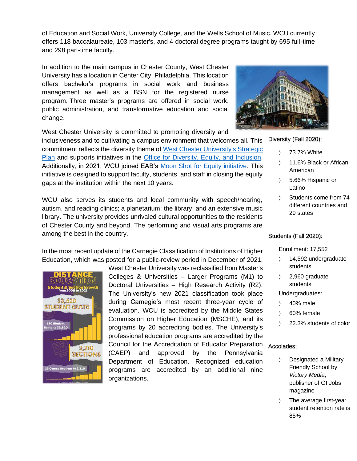of Education and Social Work, University College, and the Wells School of Music. WCU currently offers 118 baccalaureate, 103 master's, and 4 doctoral degree programs taught by 695 full-time and 298 part-time faculty.

In addition to the main campus in Chester County, West Chester University has a location in Center City, Philadelphia. This location offers bachelor's programs in social work and business management as well as a BSN for the registered nurse program. Three master's programs are offered in social work, public administration, and transformative education and social change.

West Chester University is committed to promoting diversity and

inclusiveness and to cultivating a campus environment that welcomes all. This commitment reflects the diversity theme of [West Chester University's Strategic](https://www.wcupa.edu/president/strategicPlan/default.aspx)  [Plan](https://www.wcupa.edu/president/strategicPlan/default.aspx) and supports initiatives in the [Office for Diversity, Equity, and Inclusion.](https://www.wcupa.edu/_admin/diversityEquityInclusion/) Additionally, in 2021, WCU joined EAB's [Moon Shot for Equity initiative.](https://eab.com/moon-shot-for-equity/) This initiative is designed to support faculty, students, and staff in closing the equity gaps at the institution within the next 10 years.

WCU also serves its students and local community with speech/hearing, autism, and reading clinics; a planetarium; the library; and an extensive music library. The university provides unrivaled cultural opportunities to the residents of Chester County and beyond. The performing and visual arts programs are among the best in the country.

In the most recent update of the Carnegie Classification of Institutions of Higher Education, which was posted for a public-review period in December of 2021,



West Chester University was reclassified from Master's Colleges & Universities – Larger Programs (M1) to Doctoral Universities – High Research Activity (R2). The University's new 2021 classification took place during Carnegie's most recent three-year cycle of evaluation. WCU is accredited by the Middle States Commission on Higher Education (MSCHE), and its programs by 20 accrediting bodies. The University's professional education programs are accredited by the Council for the Accreditation of Educator Preparation Accolades: (CAEP) and approved by the Pennsylvania Department of Education. Recognized education programs are accredited by an additional nine organizations.



Diversity (Fall 2020):

- 73.7% White
- 11.6% Black or African American
- 5.66% Hispanic or Latino
- Students come from 74 different countries and 29 states

Students (Fall 2020):

Enrollment: 17,552

- > 14,592 undergraduate students
- $\angle$  2,960 graduate students

Undergraduates:

- $\angle$  40% male
- 60% female
- > 22.3% students of color

- Designated a Military Friendly School by *Victory Media*, publisher of GI Jobs magazine
- > The average first-year student retention rate is 85%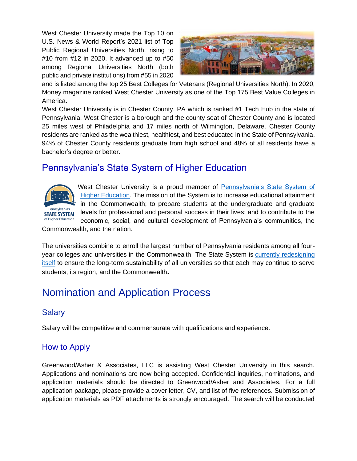West Chester University made the Top 10 on U.S. News & World Report's 2021 list of Top Public Regional Universities North, rising to #10 from #12 in 2020. It advanced up to #50 among Regional Universities North (both public and private institutions) from #55 in 2020



and is listed among the top 25 Best Colleges for Veterans (Regional Universities North). In 2020, Money magazine ranked West Chester University as one of the Top 175 Best Value Colleges in America.

West Chester University is in Chester County, PA which is ranked #1 Tech Hub in the state of Pennsylvania. West Chester is a borough and the county seat of Chester County and is located 25 miles west of Philadelphia and 17 miles north of Wilmington, Delaware. Chester County residents are ranked as the wealthiest, healthiest, and best educated in the State of Pennsylvania. 94% of Chester County residents graduate from high school and 48% of all residents have a bachelor's degree or better.

## Pennsylvania's State System of Higher Education



West Chester University is a proud member of [Pennsylvania's State System of](https://www.passhe.edu/Pages/default.aspx)  [Higher Education.](https://www.passhe.edu/Pages/default.aspx) The mission of the System is to increase educational attainment in the Commonwealth; to prepare students at the undergraduate and graduate levels for professional and personal success in their lives; and to contribute to the economic, social, and cultural development of Pennsylvania's communities, the

Commonwealth, and the nation.

The universities combine to enroll the largest number of Pennsylvania residents among all fouryear colleges and universities in the Commonwealth. The State System is currently redesigning [itself](https://www.passhe.edu/SystemRedesign) to ensure the long-term sustainability of all universities so that each may continue to serve students, its region, and the Commonwealth**.**

## Nomination and Application Process

#### **Salary**

Salary will be competitive and commensurate with qualifications and experience.

#### How to Apply

Greenwood/Asher & Associates, LLC is assisting West Chester University in this search. Applications and nominations are now being accepted. Confidential inquiries, nominations, and application materials should be directed to Greenwood/Asher and Associates. For a full application package, please provide a cover letter, CV, and list of five references. Submission of application materials as PDF attachments is strongly encouraged. The search will be conducted